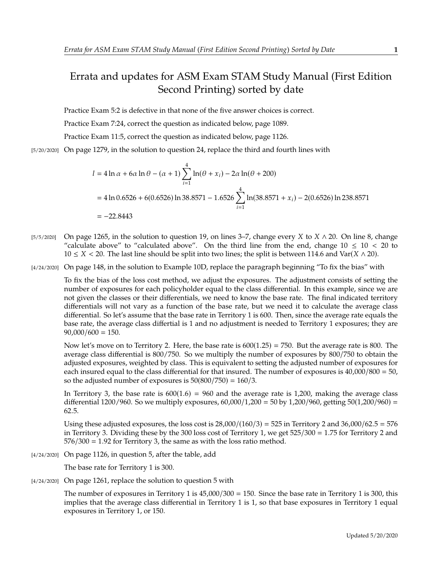## Errata and updates for ASM Exam STAM Study Manual (First Edition Second Printing) sorted by date

Practice Exam 5:2 is defective in that none of the five answer choices is correct.

Practice Exam 7:24, correct the question as indicated below, page 1089.

Practice Exam 11:5, correct the question as indicated below, page 1126.

[5/20/2020] On page 1279, in the solution to question 24, replace the third and fourth lines with

$$
l = 4 \ln \alpha + 6\alpha \ln \theta - (\alpha + 1) \sum_{i=1}^{4} \ln(\theta + x_i) - 2\alpha \ln(\theta + 200)
$$
  
= 4 \ln 0.6526 + 6(0.6526) \ln 38.8571 - 1.6526  $\sum_{i=1}^{4} \ln(38.8571 + x_i) - 2(0.6526) \ln 238.8571$   
= -22.8443

- [5/5/2020] On page 1265, in the solution to question 19, on lines 3–7, change every X to  $X \wedge 20$ . On line 8, change "calculate above" to "calculated above". On the third line from the end, change  $10 \le 10 \le 20$  to  $10 \le X < 20$ . The last line should be split into two lines; the split is between 114.6 and Var( $X \wedge 20$ ).
- [4/24/2020] On page 148, in the solution to Example 10D, replace the paragraph beginning "To fix the bias" with

To fix the bias of the loss cost method, we adjust the exposures. The adjustment consists of setting the number of exposures for each policyholder equal to the class differential. In this example, since we are not given the classes or their differentials, we need to know the base rate. The final indicated territory differentials will not vary as a function of the base rate, but we need it to calculate the average class differential. So let's assume that the base rate in Territory 1 is 600. Then, since the average rate equals the base rate, the average class differtial is 1 and no adjustment is needed to Territory 1 exposures; they are  $90,000/600 = 150.$ 

Now let's move on to Territory 2. Here, the base rate is  $600(1.25) = 750$ . But the average rate is 800. The average class differential is 800/750. So we multiply the number of exposures by 800/750 to obtain the adjusted exposures, weighted by class. This is equivalent to setting the adjusted number of exposures for each insured equal to the class differential for that insured. The number of exposures is <sup>40</sup>,000/<sup>800</sup> <sup>=</sup> 50, so the adjusted number of exposures is  $50(800/750) = 160/3$ .

In Territory 3, the base rate is  $600(1.6) = 960$  and the average rate is 1,200, making the average class differential 1200/960. So we multiply exposures,  $60,000/1,200 = 50$  by 1,200/960, getting  $50(1,200/960) =$ <sup>62</sup>.5.

Using these adjusted exposures, the loss cost is  $28,000/(160/3) = 525$  in Territory 2 and  $36,000/62.5 = 576$ in Territory 3. Dividing these by the 300 loss cost of Territory 1, we get <sup>525</sup>/<sup>300</sup> <sup>=</sup> <sup>1</sup>.<sup>75</sup> for Territory 2 and  $576/300 = 1.92$  for Territory 3, the same as with the loss ratio method.

[4/24/2020] On page 1126, in question 5, after the table, add

The base rate for Territory 1 is 300.

[4/24/2020] On page 1261, replace the solution to question 5 with

The number of exposures in Territory 1 is  $45,000/300 = 150$ . Since the base rate in Territory 1 is 300, this implies that the average class differential in Territory 1 is 1, so that base exposures in Territory 1 equal exposures in Territory 1, or 150.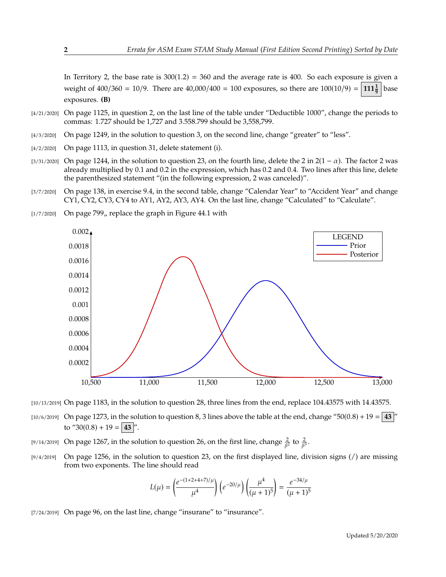In Territory 2, the base rate is  $300(1.2) = 360$  and the average rate is 400. So each exposure is given a weight of  $400/360 = 10/9$ . There are  $40,000/400 = 100$  exposures, so there are  $100(10/9) = 111\frac{1}{9}$ base exposures. **(B)**

- [4/21/2020] On page 1125, in question 2, on the last line of the table under "Deductible 1000", change the periods to commas: 1.727 should be 1,727 and 3.558.799 should be 3,558,799.
- [4/3/2020] On page 1249, in the solution to question 3, on the second line, change "greater" to "less".
- [4/2/2020] On page 1113, in question 31, delete statement (i).
- [3/31/2020] On page 1244, in the solution to question 23, on the fourth line, delete the 2 in  $2(1 \alpha)$ . The factor 2 was already multiplied by 0.1 and 0.2 in the expression, which has 0.2 and 0.4. Two lines after this line, delete the parenthesized statement "(in the following expression, 2 was canceled)".
- [3/7/2020] On page 138, in exercise 9.4, in the second table, change "Calendar Year" to "Accident Year" and change CY1, CY2, CY3, CY4 to AY1, AY2, AY3, AY4. On the last line, change "Calculated" to "Calculate".



 $[1/7/2020]$  On page 799, replace the graph in Figure 44.1 with

[10/13/2019] On page 1183, in the solution to question 28, three lines from the end, replace 104.43575 with 14.43575.

- [10/6/2019] On page 1273, in the solution to question 8, 3 lines above the table at the end, change "50(0.8) + 19 =  $\mid$  43  $\mid$ " to "30(0.8) + 19 = **43** |".
- [9/14/2019] On page 1267, in the solution to question 26, on the first line, change  $\frac{2}{\beta^2}$  to  $\frac{2}{\beta^3}$ .
- [9/4/2019] On page 1256, in the solution to question 23, on the first displayed line, division signs (/) are missing from two exponents. The line should read

$$
L(\mu) = \left(\frac{e^{-(1+2+4+7)/\mu}}{\mu^4}\right) \left(e^{-20/\mu}\right) \left(\frac{\mu^4}{(\mu+1)^5}\right) = \frac{e^{-34/\mu}}{(\mu+1)^5}
$$

[7/24/2019] On page 96, on the last line, change "insurane" to "insurance".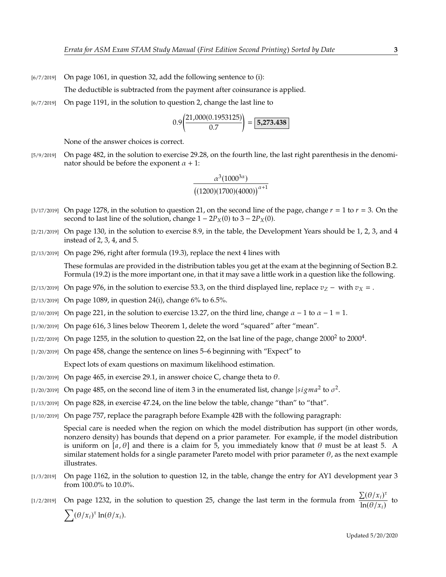[6/7/2019] On page 1061, in question 32, add the following sentence to (i):

The deductible is subtracted from the payment after coinsurance is applied.

[6/7/2019] On page 1191, in the solution to question 2, change the last line to

$$
0.9\left(\frac{21,000(0.1953125)}{0.7}\right) = \boxed{5,273.438}
$$

None of the answer choices is correct.

[5/9/2019] On page 482, in the solution to exercise 29.28, on the fourth line, the last right parenthesis in the denominator should be before the exponent  $\alpha + 1$ :

$$
\frac{\alpha^3(1000^{3\alpha})}{\left((1200)(1700)(4000)\right)^{\alpha+1}}
$$

- [3/17/2019] On page 1278, in the solution to question 21, on the second line of the page, change  $r = 1$  to  $r = 3$ . On the second to last line of the solution, change  $1 - 2P_X(0)$  to  $3 - 2P_X(0)$ .
- $[2/21/2019]$  On page 130, in the solution to exercise 8.9, in the table, the Development Years should be 1, 2, 3, and 4 instead of 2, 3, 4, and 5.
- [2/13/2019] On page 296, right after formula (19.3), replace the next 4 lines with

These formulas are provided in the distribution tables you get at the exam at the beginning of Section B.2. Formula (19.2) is the more important one, in that it may save a little work in a question like the following.

- [2/13/2019] On page 976, in the solution to exercise 53.3, on the third displayed line, replace  $v_Z$  with  $v_X$  = .
- [2/13/2019] On page 1089, in question 24(i), change 6% to 6.5%.
- [2/10/2019] On page 221, in the solution to exercise 13.27, on the third line, change  $\alpha 1$  to  $\alpha 1 = 1$ .
- [1/30/2019] On page 616, 3 lines below Theorem 1, delete the word "squared" after "mean".
- [1/22/2019] On page 1255, in the solution to question 22, on the lsat line of the page, change 2000<sup>2</sup> to 2000<sup>4</sup>.
- [1/20/2019] On page 458, change the sentence on lines 5–6 beginning with "Expect" to Expect lots of exam questions on maximum likelihood estimation.
- [ $1/20/2019$ ] On page 465, in exercise 29.1, in answer choice C, change theta to  $\theta$ .
- [1/20/2019] On page 485, on the second line of item 3 in the enumerated list, change  $|sigma^2$  to  $\sigma^2$ .
- [1/13/2019] On page 828, in exercise 47.24, on the line below the table, change "than" to "that".
- [1/10/2019] On page 757, replace the paragraph before Example 42B with the following paragraph:

Special care is needed when the region on which the model distribution has support (in other words, nonzero density) has bounds that depend on a prior parameter. For example, if the model distribution is uniform on [a,  $\theta$ ] and there is a claim for 5, you immediately know that  $\theta$  must be at least 5. A similar statement holds for a single parameter Pareto model with prior parameter  $\theta$ , as the next example illustrates.

- [1/3/2019] On page 1162, in the solution to question 12, in the table, change the entry for AY1 development year 3 from 100.0% to 10.0%.
- [1/2/2019] On page 1232, in the solution to question 25, change the last term in the formula from  $\frac{\sum (\theta/x_i)^{\tau}}{\ln(\theta/x_i)}$  $\frac{\Delta(\mathcal{O}/n_i)}{\ln(\theta/x_i)}$  to  $\sum (\theta/x_i)^{\tau} \ln(\theta/x_i).$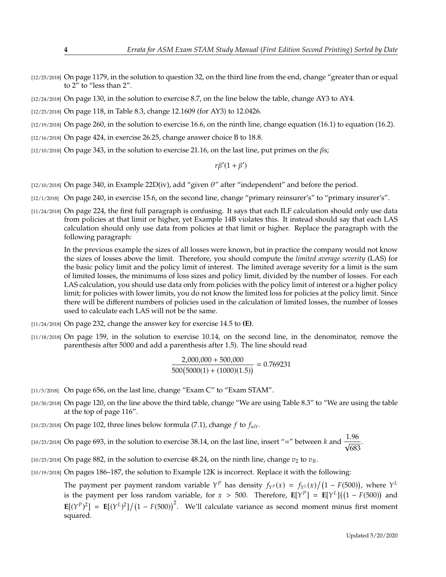- [12/25/2018] On page 1179, in the solution to question 32, on the third line from the end, change "greater than or equal to 2" to "less than 2".
- [12/24/2018] On page 130, in the solution to exercise 8.7, on the line below the table, change AY3 to AY4.
- [12/23/2018] On page 118, in Table 8.3, change 12.1609 (for AY3) to 12.0426.
- [12/19/2018] On page 260, in the solution to exercise 16.6, on the ninth line, change equation (16.1) to equation (16.2).
- [12/16/2018] On page 424, in exercise 26.25, change answer choice B to 18.8.
- $[12/10/2018]$  On page 343, in the solution to exercise 21.16, on the last line, put primes on the  $\beta s$ ;

 $r\beta'(1+\beta')$ 

- [12/10/2018] On page 340, in Example 22D(iv), add "given  $\theta$ " after "independent" and before the period.
- [12/1/2018] On page 240, in exercise 15.6, on the second line, change "primary reinsurer's" to "primary insurer's".
- [11/24/2018] On page 224, the first full paragraph is confusing. It says that each ILF calculation should only use data from policies at that limit or higher, yet Example 14B violates this. It instead should say that each LAS calculation should only use data from policies at that limit or higher. Replace the paragraph with the following paragraph:

In the previous example the sizes of all losses were known, but in practice the company would not know the sizes of losses above the limit. Therefore, you should compute the *limited average severity* (LAS) for the basic policy limit and the policy limit of interest. The limited average severity for a limit is the sum of limited losses, the minimums of loss sizes and policy limit, divided by the number of losses. For each LAS calculation, you should use data only from policies with the policy limit of interest or a higher policy limit; for policies with lower limits, you do not know the limited loss for policies at the policy limit. Since there will be different numbers of policies used in the calculation of limited losses, the number of losses used to calculate each LAS will not be the same.

- [11/24/2018] On page 232, change the answer key for exercise 14.5 to **(E)**.
- [11/18/2018] On page 159, in the solution to exercise 10.14, on the second line, in the denominator, remove the parenthesis after 5000 and add a parenthesis after 1.5). The line should read

$$
\frac{2,000,000 + 500,000}{500(5000(1) + (1000)(1.5))} = 0.769231
$$

- [11/3/2018] On page 656, on the last line, change "Exam C" to "Exam STAM".
- [10/30/2018] On page 120, on the line above the third table, change "We are using Table 8.3" to "We are using the table at the top of page 116".
- [10/23/2018] On page 102, three lines below formula (7.1), change  $f$  to  $f_{ult}$ .
- [10/23/2018] On page 693, in the solution to exercise 38.14, on the last line, insert "=" between k and  $\frac{1.96}{\sqrt{683}}$ 683
- [10/23/2018] On page 882, in the solution to exercise 48.24, on the ninth line, change  $v_2$  to  $v_B$ .
- [10/19/2018] On pages 186–187, the solution to Example 12K is incorrect. Replace it with the following:
	- The payment per payment random variable  $Y^P$  has density  $f_{Y^P}(x) = f_{Y^L}(x)/(1 F(500))$ , where  $Y^L$ is the payment per loss random variable, for  $x > 500$ . Therefore,  $\mathbf{E}[Y^P] = \mathbf{E}[Y^L]((1 - F(500))$  and  $\mathbf{E}[(Y^P)^2] = \mathbf{E}[(Y^L)^2]/(1 - F(500))^2$ . We'll calculate variance as second moment minus first moment squared.

.